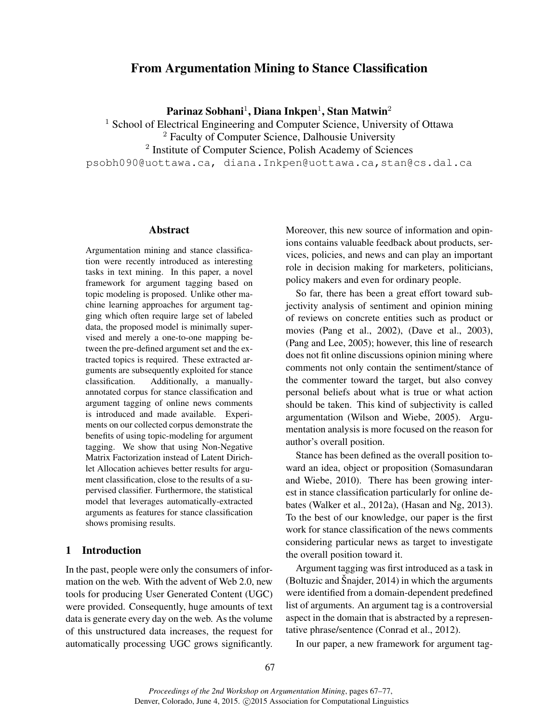# From Argumentation Mining to Stance Classification

Parinaz Sobhani $^1$ , Diana Inkpen $^1$ , Stan Matwin $^2$ 

<sup>1</sup> School of Electrical Engineering and Computer Science, University of Ottawa

<sup>2</sup> Faculty of Computer Science, Dalhousie University

<sup>2</sup> Institute of Computer Science, Polish Academy of Sciences

psobh090@uottawa.ca, diana.Inkpen@uottawa.ca,stan@cs.dal.ca

#### Abstract

Argumentation mining and stance classification were recently introduced as interesting tasks in text mining. In this paper, a novel framework for argument tagging based on topic modeling is proposed. Unlike other machine learning approaches for argument tagging which often require large set of labeled data, the proposed model is minimally supervised and merely a one-to-one mapping between the pre-defined argument set and the extracted topics is required. These extracted arguments are subsequently exploited for stance classification. Additionally, a manuallyannotated corpus for stance classification and argument tagging of online news comments is introduced and made available. Experiments on our collected corpus demonstrate the benefits of using topic-modeling for argument tagging. We show that using Non-Negative Matrix Factorization instead of Latent Dirichlet Allocation achieves better results for argument classification, close to the results of a supervised classifier. Furthermore, the statistical model that leverages automatically-extracted arguments as features for stance classification shows promising results.

# 1 Introduction

In the past, people were only the consumers of information on the web. With the advent of Web 2.0, new tools for producing User Generated Content (UGC) were provided. Consequently, huge amounts of text data is generate every day on the web. As the volume of this unstructured data increases, the request for automatically processing UGC grows significantly. Moreover, this new source of information and opinions contains valuable feedback about products, services, policies, and news and can play an important role in decision making for marketers, politicians, policy makers and even for ordinary people.

So far, there has been a great effort toward subjectivity analysis of sentiment and opinion mining of reviews on concrete entities such as product or movies (Pang et al., 2002), (Dave et al., 2003), (Pang and Lee, 2005); however, this line of research does not fit online discussions opinion mining where comments not only contain the sentiment/stance of the commenter toward the target, but also convey personal beliefs about what is true or what action should be taken. This kind of subjectivity is called argumentation (Wilson and Wiebe, 2005). Argumentation analysis is more focused on the reason for author's overall position.

Stance has been defined as the overall position toward an idea, object or proposition (Somasundaran and Wiebe, 2010). There has been growing interest in stance classification particularly for online debates (Walker et al., 2012a), (Hasan and Ng, 2013). To the best of our knowledge, our paper is the first work for stance classification of the news comments considering particular news as target to investigate the overall position toward it.

Argument tagging was first introduced as a task in (Boltuzic and Šnajder,  $2014$ ) in which the arguments were identified from a domain-dependent predefined list of arguments. An argument tag is a controversial aspect in the domain that is abstracted by a representative phrase/sentence (Conrad et al., 2012).

In our paper, a new framework for argument tag-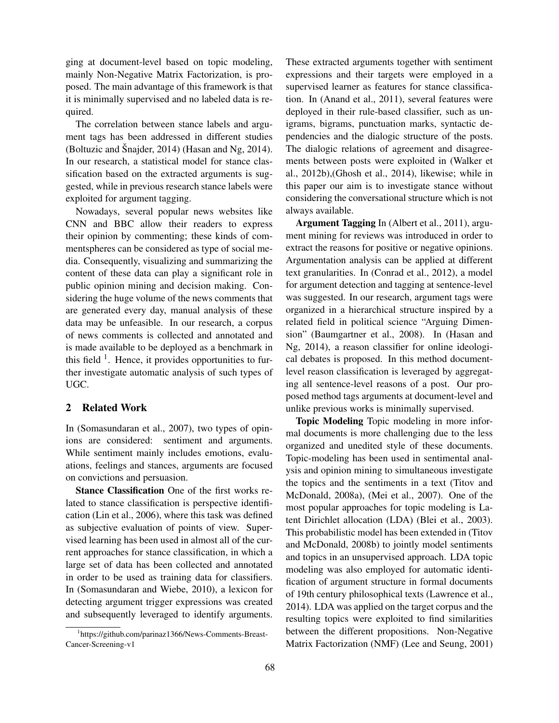ging at document-level based on topic modeling, mainly Non-Negative Matrix Factorization, is proposed. The main advantage of this framework is that it is minimally supervised and no labeled data is required.

The correlation between stance labels and argument tags has been addressed in different studies (Boltuzic and Šnajder, 2014) (Hasan and Ng, 2014). In our research, a statistical model for stance classification based on the extracted arguments is suggested, while in previous research stance labels were exploited for argument tagging.

Nowadays, several popular news websites like CNN and BBC allow their readers to express their opinion by commenting; these kinds of commentspheres can be considered as type of social media. Consequently, visualizing and summarizing the content of these data can play a significant role in public opinion mining and decision making. Considering the huge volume of the news comments that are generated every day, manual analysis of these data may be unfeasible. In our research, a corpus of news comments is collected and annotated and is made available to be deployed as a benchmark in this field  $<sup>1</sup>$ . Hence, it provides opportunities to fur-</sup> ther investigate automatic analysis of such types of UGC.

## 2 Related Work

In (Somasundaran et al., 2007), two types of opinions are considered: sentiment and arguments. While sentiment mainly includes emotions, evaluations, feelings and stances, arguments are focused on convictions and persuasion.

Stance Classification One of the first works related to stance classification is perspective identification (Lin et al., 2006), where this task was defined as subjective evaluation of points of view. Supervised learning has been used in almost all of the current approaches for stance classification, in which a large set of data has been collected and annotated in order to be used as training data for classifiers. In (Somasundaran and Wiebe, 2010), a lexicon for detecting argument trigger expressions was created and subsequently leveraged to identify arguments. These extracted arguments together with sentiment expressions and their targets were employed in a supervised learner as features for stance classification. In (Anand et al., 2011), several features were deployed in their rule-based classifier, such as unigrams, bigrams, punctuation marks, syntactic dependencies and the dialogic structure of the posts. The dialogic relations of agreement and disagreements between posts were exploited in (Walker et al., 2012b),(Ghosh et al., 2014), likewise; while in this paper our aim is to investigate stance without considering the conversational structure which is not always available.

Argument Tagging In (Albert et al., 2011), argument mining for reviews was introduced in order to extract the reasons for positive or negative opinions. Argumentation analysis can be applied at different text granularities. In (Conrad et al., 2012), a model for argument detection and tagging at sentence-level was suggested. In our research, argument tags were organized in a hierarchical structure inspired by a related field in political science "Arguing Dimension" (Baumgartner et al., 2008). In (Hasan and Ng, 2014), a reason classifier for online ideological debates is proposed. In this method documentlevel reason classification is leveraged by aggregating all sentence-level reasons of a post. Our proposed method tags arguments at document-level and unlike previous works is minimally supervised.

Topic Modeling Topic modeling in more informal documents is more challenging due to the less organized and unedited style of these documents. Topic-modeling has been used in sentimental analysis and opinion mining to simultaneous investigate the topics and the sentiments in a text (Titov and McDonald, 2008a), (Mei et al., 2007). One of the most popular approaches for topic modeling is Latent Dirichlet allocation (LDA) (Blei et al., 2003). This probabilistic model has been extended in (Titov and McDonald, 2008b) to jointly model sentiments and topics in an unsupervised approach. LDA topic modeling was also employed for automatic identification of argument structure in formal documents of 19th century philosophical texts (Lawrence et al., 2014). LDA was applied on the target corpus and the resulting topics were exploited to find similarities between the different propositions. Non-Negative Matrix Factorization (NMF) (Lee and Seung, 2001)

<sup>1</sup> https://github.com/parinaz1366/News-Comments-Breast-Cancer-Screening-v1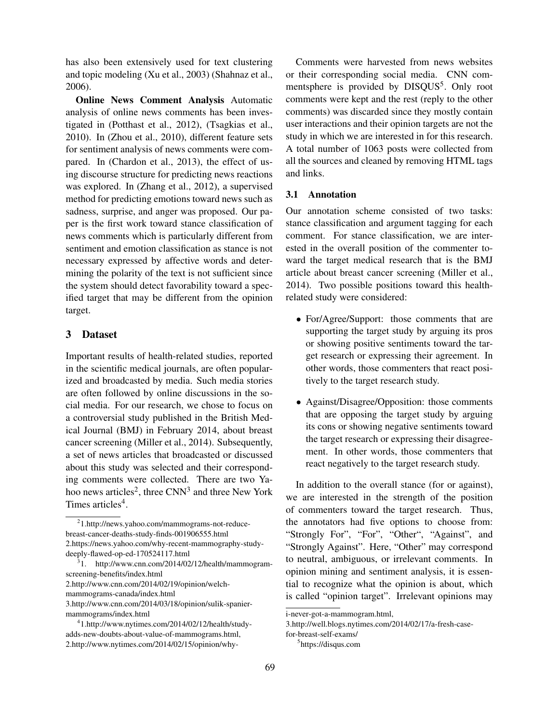has also been extensively used for text clustering and topic modeling (Xu et al., 2003) (Shahnaz et al., 2006).

Online News Comment Analysis Automatic analysis of online news comments has been investigated in (Potthast et al., 2012), (Tsagkias et al., 2010). In (Zhou et al., 2010), different feature sets for sentiment analysis of news comments were compared. In (Chardon et al., 2013), the effect of using discourse structure for predicting news reactions was explored. In (Zhang et al., 2012), a supervised method for predicting emotions toward news such as sadness, surprise, and anger was proposed. Our paper is the first work toward stance classification of news comments which is particularly different from sentiment and emotion classification as stance is not necessary expressed by affective words and determining the polarity of the text is not sufficient since the system should detect favorability toward a specified target that may be different from the opinion target.

## 3 Dataset

Important results of health-related studies, reported in the scientific medical journals, are often popularized and broadcasted by media. Such media stories are often followed by online discussions in the social media. For our research, we chose to focus on a controversial study published in the British Medical Journal (BMJ) in February 2014, about breast cancer screening (Miller et al., 2014). Subsequently, a set of news articles that broadcasted or discussed about this study was selected and their corresponding comments were collected. There are two Yahoo news articles<sup>2</sup>, three  $CNN<sup>3</sup>$  and three New York Times articles<sup>4</sup>.

Comments were harvested from news websites or their corresponding social media. CNN commentsphere is provided by DISQUS<sup>5</sup>. Only root comments were kept and the rest (reply to the other comments) was discarded since they mostly contain user interactions and their opinion targets are not the study in which we are interested in for this research. A total number of 1063 posts were collected from all the sources and cleaned by removing HTML tags and links.

## 3.1 Annotation

Our annotation scheme consisted of two tasks: stance classification and argument tagging for each comment. For stance classification, we are interested in the overall position of the commenter toward the target medical research that is the BMJ article about breast cancer screening (Miller et al., 2014). Two possible positions toward this healthrelated study were considered:

- For/Agree/Support: those comments that are supporting the target study by arguing its pros or showing positive sentiments toward the target research or expressing their agreement. In other words, those commenters that react positively to the target research study.
- Against/Disagree/Opposition: those comments that are opposing the target study by arguing its cons or showing negative sentiments toward the target research or expressing their disagreement. In other words, those commenters that react negatively to the target research study.

In addition to the overall stance (for or against), we are interested in the strength of the position of commenters toward the target research. Thus, the annotators had five options to choose from: "Strongly For", "For", "Other", "Against", and "Strongly Against". Here, "Other" may correspond to neutral, ambiguous, or irrelevant comments. In opinion mining and sentiment analysis, it is essential to recognize what the opinion is about, which is called "opinion target". Irrelevant opinions may

<sup>2</sup> 1.http://news.yahoo.com/mammograms-not-reducebreast-cancer-deaths-study-finds-001906555.html 2.https://news.yahoo.com/why-recent-mammography-studydeeply-flawed-op-ed-170524117.html

<sup>3</sup> 1. http://www.cnn.com/2014/02/12/health/mammogramscreening-benefits/index.html

<sup>2.</sup>http://www.cnn.com/2014/02/19/opinion/welchmammograms-canada/index.html

<sup>3.</sup>http://www.cnn.com/2014/03/18/opinion/sulik-spaniermammograms/index.html

<sup>4</sup> 1.http://www.nytimes.com/2014/02/12/health/studyadds-new-doubts-about-value-of-mammograms.html, 2.http://www.nytimes.com/2014/02/15/opinion/why-

i-never-got-a-mammogram.html,

<sup>3.</sup>http://well.blogs.nytimes.com/2014/02/17/a-fresh-case-

for-breast-self-exams/

<sup>5</sup> https://disqus.com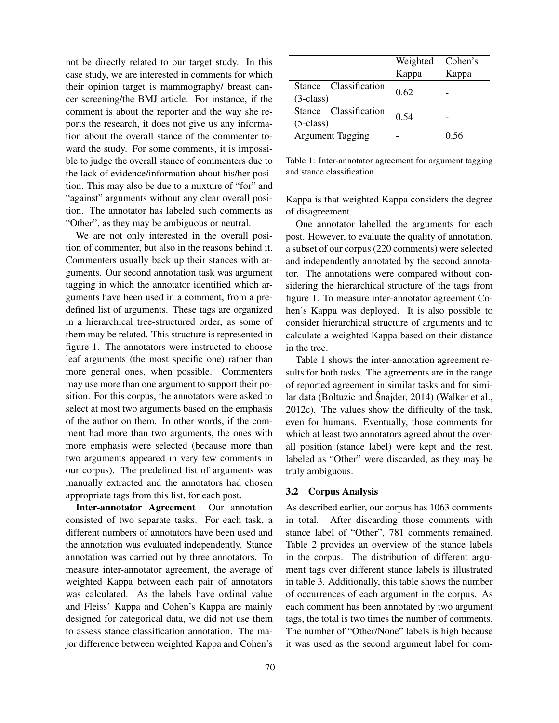not be directly related to our target study. In this case study, we are interested in comments for which their opinion target is mammography/ breast cancer screening/the BMJ article. For instance, if the comment is about the reporter and the way she reports the research, it does not give us any information about the overall stance of the commenter toward the study. For some comments, it is impossible to judge the overall stance of commenters due to the lack of evidence/information about his/her position. This may also be due to a mixture of "for" and "against" arguments without any clear overall position. The annotator has labeled such comments as "Other", as they may be ambiguous or neutral.

We are not only interested in the overall position of commenter, but also in the reasons behind it. Commenters usually back up their stances with arguments. Our second annotation task was argument tagging in which the annotator identified which arguments have been used in a comment, from a predefined list of arguments. These tags are organized in a hierarchical tree-structured order, as some of them may be related. This structure is represented in figure 1. The annotators were instructed to choose leaf arguments (the most specific one) rather than more general ones, when possible. Commenters may use more than one argument to support their position. For this corpus, the annotators were asked to select at most two arguments based on the emphasis of the author on them. In other words, if the comment had more than two arguments, the ones with more emphasis were selected (because more than two arguments appeared in very few comments in our corpus). The predefined list of arguments was manually extracted and the annotators had chosen appropriate tags from this list, for each post.

Inter-annotator Agreement Our annotation consisted of two separate tasks. For each task, a different numbers of annotators have been used and the annotation was evaluated independently. Stance annotation was carried out by three annotators. To measure inter-annotator agreement, the average of weighted Kappa between each pair of annotators was calculated. As the labels have ordinal value and Fleiss' Kappa and Cohen's Kappa are mainly designed for categorical data, we did not use them to assess stance classification annotation. The major difference between weighted Kappa and Cohen's

|                                      | Weighted<br>Kappa | Cohen's<br>Kappa |
|--------------------------------------|-------------------|------------------|
| Stance Classification<br>$(3-class)$ | 0.62              |                  |
| Stance Classification<br>$(5-class)$ | 0.54              |                  |
| <b>Argument Tagging</b>              |                   | () 56            |

Table 1: Inter-annotator agreement for argument tagging and stance classification

Kappa is that weighted Kappa considers the degree of disagreement.

One annotator labelled the arguments for each post. However, to evaluate the quality of annotation, a subset of our corpus (220 comments) were selected and independently annotated by the second annotator. The annotations were compared without considering the hierarchical structure of the tags from figure 1. To measure inter-annotator agreement Cohen's Kappa was deployed. It is also possible to consider hierarchical structure of arguments and to calculate a weighted Kappa based on their distance in the tree.

Table 1 shows the inter-annotation agreement results for both tasks. The agreements are in the range of reported agreement in similar tasks and for similar data (Boltuzic and Šnajder, 2014) (Walker et al., 2012c). The values show the difficulty of the task, even for humans. Eventually, those comments for which at least two annotators agreed about the overall position (stance label) were kept and the rest, labeled as "Other" were discarded, as they may be truly ambiguous.

### 3.2 Corpus Analysis

As described earlier, our corpus has 1063 comments in total. After discarding those comments with stance label of "Other", 781 comments remained. Table 2 provides an overview of the stance labels in the corpus. The distribution of different argument tags over different stance labels is illustrated in table 3. Additionally, this table shows the number of occurrences of each argument in the corpus. As each comment has been annotated by two argument tags, the total is two times the number of comments. The number of "Other/None" labels is high because it was used as the second argument label for com-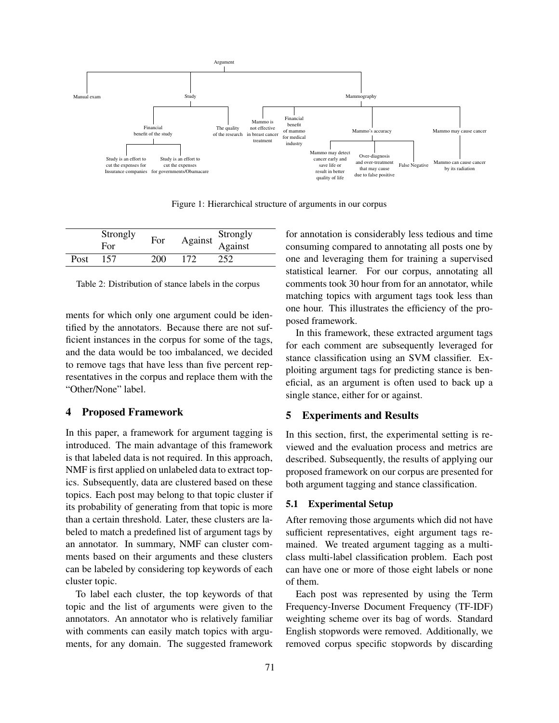

Figure 1: Hierarchical structure of arguments in our corpus

|      | Strongly   | For | Against Strongly<br>Against |     |
|------|------------|-----|-----------------------------|-----|
|      | <b>For</b> |     |                             |     |
| Post | 157        | 200 | 172                         | 252 |

Table 2: Distribution of stance labels in the corpus

ments for which only one argument could be identified by the annotators. Because there are not sufficient instances in the corpus for some of the tags, and the data would be too imbalanced, we decided to remove tags that have less than five percent representatives in the corpus and replace them with the "Other/None" label.

## 4 Proposed Framework

In this paper, a framework for argument tagging is introduced. The main advantage of this framework is that labeled data is not required. In this approach, NMF is first applied on unlabeled data to extract topics. Subsequently, data are clustered based on these topics. Each post may belong to that topic cluster if its probability of generating from that topic is more than a certain threshold. Later, these clusters are labeled to match a predefined list of argument tags by an annotator. In summary, NMF can cluster comments based on their arguments and these clusters can be labeled by considering top keywords of each cluster topic.

To label each cluster, the top keywords of that topic and the list of arguments were given to the annotators. An annotator who is relatively familiar with comments can easily match topics with arguments, for any domain. The suggested framework for annotation is considerably less tedious and time consuming compared to annotating all posts one by one and leveraging them for training a supervised statistical learner. For our corpus, annotating all comments took 30 hour from for an annotator, while matching topics with argument tags took less than one hour. This illustrates the efficiency of the proposed framework.

In this framework, these extracted argument tags for each comment are subsequently leveraged for stance classification using an SVM classifier. Exploiting argument tags for predicting stance is beneficial, as an argument is often used to back up a single stance, either for or against.

### 5 Experiments and Results

In this section, first, the experimental setting is reviewed and the evaluation process and metrics are described. Subsequently, the results of applying our proposed framework on our corpus are presented for both argument tagging and stance classification.

#### 5.1 Experimental Setup

After removing those arguments which did not have sufficient representatives, eight argument tags remained. We treated argument tagging as a multiclass multi-label classification problem. Each post can have one or more of those eight labels or none of them.

Each post was represented by using the Term Frequency-Inverse Document Frequency (TF-IDF) weighting scheme over its bag of words. Standard English stopwords were removed. Additionally, we removed corpus specific stopwords by discarding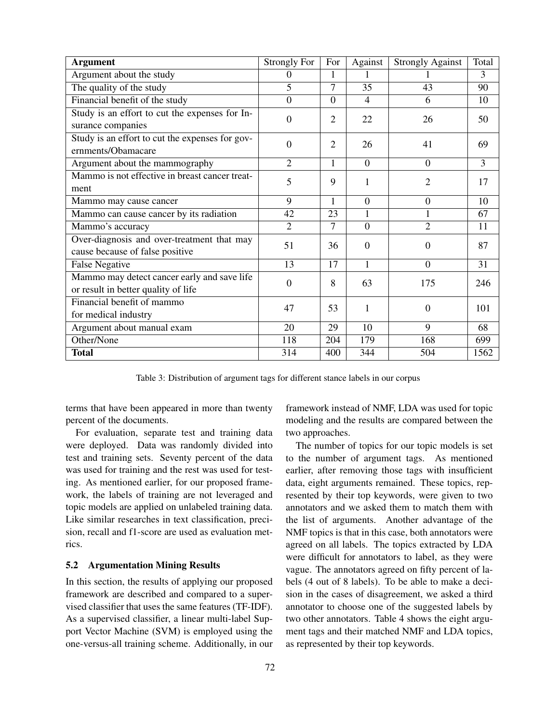| <b>Argument</b>                                                               | <b>Strongly For</b> | For            | Against        | <b>Strongly Against</b> | Total |
|-------------------------------------------------------------------------------|---------------------|----------------|----------------|-------------------------|-------|
| Argument about the study                                                      | 0                   | $\mathbf{1}$   |                |                         | 3     |
| The quality of the study                                                      | 5                   | 7              | 35             | 43                      | 90    |
| Financial benefit of the study                                                | $\overline{0}$      | $\overline{0}$ | $\overline{4}$ | 6                       | 10    |
| Study is an effort to cut the expenses for In-                                | $\overline{0}$      | $\overline{2}$ | 22             | 26                      | 50    |
| surance companies                                                             |                     |                |                |                         |       |
| Study is an effort to cut the expenses for gov-                               | $\theta$            | $\overline{2}$ | 26             | 41                      | 69    |
| ernments/Obamacare                                                            |                     |                |                |                         |       |
| Argument about the mammography                                                | $\overline{2}$      | 1              | $\overline{0}$ | $\Omega$                | 3     |
| Mammo is not effective in breast cancer treat-                                | 5                   | 9              | 1              | $\overline{2}$          | 17    |
| ment                                                                          |                     |                |                |                         |       |
| Mammo may cause cancer                                                        | $\mathbf Q$         | $\mathbf{1}$   | $\overline{0}$ | $\overline{0}$          | 10    |
| Mammo can cause cancer by its radiation                                       | 42                  | 23             | $\mathbf{1}$   | $\mathbf{1}$            | 67    |
| Mammo's accuracy                                                              | $\overline{2}$      | 7              | $\overline{0}$ | $\overline{2}$          | 11    |
| Over-diagnosis and over-treatment that may<br>cause because of false positive | 51                  | 36             | $\Omega$       | $\theta$                | 87    |
| <b>False Negative</b>                                                         | 13                  | 17             | 1              | $\theta$                | 31    |
| Mammo may detect cancer early and save life                                   |                     |                |                |                         |       |
| or result in better quality of life                                           | $\overline{0}$      | 8              | 63             | 175                     | 246   |
| Financial benefit of mammo                                                    |                     |                |                |                         |       |
| for medical industry                                                          | 47                  | 53             | 1              | $\overline{0}$          | 101   |
| Argument about manual exam                                                    | 20                  | 29             | 10             | 9                       | 68    |
| Other/None                                                                    | 118                 | 204            | 179            | 168                     | 699   |
| <b>Total</b>                                                                  | 314                 | 400            | 344            | 504                     | 1562  |

Table 3: Distribution of argument tags for different stance labels in our corpus

terms that have been appeared in more than twenty percent of the documents.

For evaluation, separate test and training data were deployed. Data was randomly divided into test and training sets. Seventy percent of the data was used for training and the rest was used for testing. As mentioned earlier, for our proposed framework, the labels of training are not leveraged and topic models are applied on unlabeled training data. Like similar researches in text classification, precision, recall and f1-score are used as evaluation metrics.

#### 5.2 Argumentation Mining Results

In this section, the results of applying our proposed framework are described and compared to a supervised classifier that uses the same features (TF-IDF). As a supervised classifier, a linear multi-label Support Vector Machine (SVM) is employed using the one-versus-all training scheme. Additionally, in our framework instead of NMF, LDA was used for topic modeling and the results are compared between the two approaches.

The number of topics for our topic models is set to the number of argument tags. As mentioned earlier, after removing those tags with insufficient data, eight arguments remained. These topics, represented by their top keywords, were given to two annotators and we asked them to match them with the list of arguments. Another advantage of the NMF topics is that in this case, both annotators were agreed on all labels. The topics extracted by LDA were difficult for annotators to label, as they were vague. The annotators agreed on fifty percent of labels (4 out of 8 labels). To be able to make a decision in the cases of disagreement, we asked a third annotator to choose one of the suggested labels by two other annotators. Table 4 shows the eight argument tags and their matched NMF and LDA topics, as represented by their top keywords.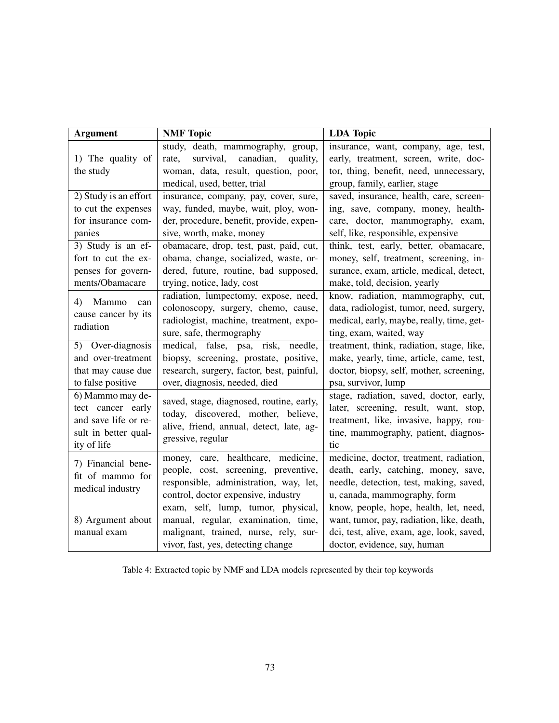| <b>Argument</b>       | <b>NMF</b> Topic                            | <b>LDA</b> Topic                          |
|-----------------------|---------------------------------------------|-------------------------------------------|
|                       | study, death, mammography, group,           | insurance, want, company, age, test,      |
| 1) The quality of     | rate,<br>survival,<br>canadian,<br>quality, | early, treatment, screen, write, doc-     |
| the study             | woman, data, result, question, poor,        | tor, thing, benefit, need, unnecessary,   |
|                       | medical, used, better, trial                | group, family, earlier, stage             |
| 2) Study is an effort | insurance, company, pay, cover, sure,       | saved, insurance, health, care, screen-   |
| to cut the expenses   | way, funded, maybe, wait, ploy, won-        | ing, save, company, money, health-        |
| for insurance com-    | der, procedure, benefit, provide, expen-    | care, doctor, mammography, exam,          |
| panies                | sive, worth, make, money                    | self, like, responsible, expensive        |
| 3) Study is an ef-    | obamacare, drop, test, past, paid, cut,     | think, test, early, better, obamacare,    |
| fort to cut the ex-   | obama, change, socialized, waste, or-       | money, self, treatment, screening, in-    |
| penses for govern-    | dered, future, routine, bad supposed,       | surance, exam, article, medical, detect,  |
| ments/Obamacare       | trying, notice, lady, cost                  | make, told, decision, yearly              |
| 4)<br>Mammo<br>can    | radiation, lumpectomy, expose, need,        | know, radiation, mammography, cut,        |
| cause cancer by its   | colonoscopy, surgery, chemo, cause,         | data, radiologist, tumor, need, surgery,  |
| radiation             | radiologist, machine, treatment, expo-      | medical, early, maybe, really, time, get- |
|                       | sure, safe, thermography                    | ting, exam, waited, way                   |
| 5) Over-diagnosis     | medical, false, psa, risk,<br>needle,       | treatment, think, radiation, stage, like, |
| and over-treatment    | biopsy, screening, prostate, positive,      | make, yearly, time, article, came, test,  |
| that may cause due    | research, surgery, factor, best, painful,   | doctor, biopsy, self, mother, screening,  |
| to false positive     | over, diagnosis, needed, died               | psa, survivor, lump                       |
| 6) Mammo may de-      | saved, stage, diagnosed, routine, early,    | stage, radiation, saved, doctor, early,   |
| tect cancer early     | today, discovered, mother, believe,         | later, screening, result, want, stop,     |
| and save life or re-  | alive, friend, annual, detect, late, ag-    | treatment, like, invasive, happy, rou-    |
| sult in better qual-  | gressive, regular                           | tine, mammography, patient, diagnos-      |
| ity of life           |                                             | tic                                       |
| 7) Financial bene-    | money, care, healthcare, medicine,          | medicine, doctor, treatment, radiation,   |
| fit of mammo for      | people, cost, screening, preventive,        | death, early, catching, money, save,      |
| medical industry      | responsible, administration, way, let,      | needle, detection, test, making, saved,   |
|                       | control, doctor expensive, industry         | u, canada, mammography, form              |
|                       | exam, self, lump, tumor, physical,          | know, people, hope, health, let, need,    |
| 8) Argument about     | manual, regular, examination, time,         | want, tumor, pay, radiation, like, death, |
| manual exam           | malignant, trained, nurse, rely, sur-       | dci, test, alive, exam, age, look, saved, |
|                       | vivor, fast, yes, detecting change          | doctor, evidence, say, human              |

Table 4: Extracted topic by NMF and LDA models represented by their top keywords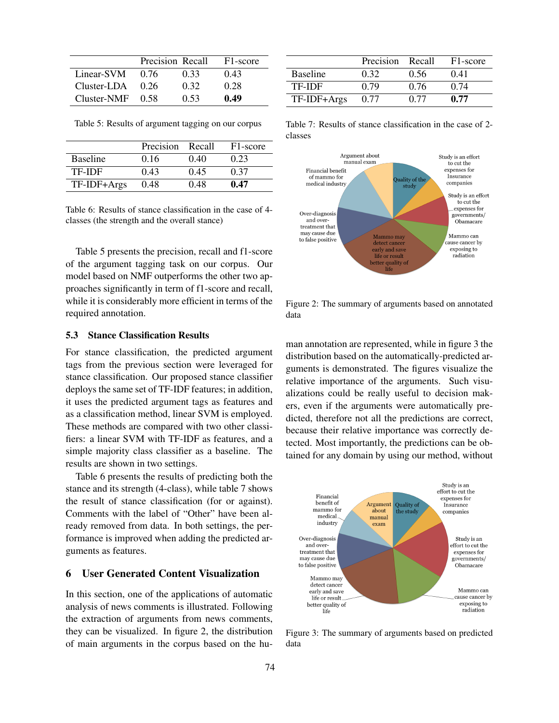|                    | Precision Recall |      | F <sub>1</sub> -score |
|--------------------|------------------|------|-----------------------|
| Linear-SVM         | 0.76             | 0.33 | 0.43                  |
| Cluster-LDA        | 0.26             | 0.32 | 0.28                  |
| $Cluster-NMF$ 0.58 |                  | 0.53 | 0.49                  |

Table 5: Results of argument tagging on our corpus

|                 | Precision | - Recall | F <sub>1</sub> -score |
|-----------------|-----------|----------|-----------------------|
| <b>Baseline</b> | 0.16      | 040      | 0.23                  |
| TF-IDF          | 0.43      | 0.45     | 0.37                  |
| TF-IDF+Args     | 0.48      | 0.48     | 0.47                  |

Table 6: Results of stance classification in the case of 4 classes (the strength and the overall stance)

Table 5 presents the precision, recall and f1-score of the argument tagging task on our corpus. Our model based on NMF outperforms the other two approaches significantly in term of f1-score and recall, while it is considerably more efficient in terms of the required annotation.

## 5.3 Stance Classification Results

For stance classification, the predicted argument tags from the previous section were leveraged for stance classification. Our proposed stance classifier deploys the same set of TF-IDF features; in addition, it uses the predicted argument tags as features and as a classification method, linear SVM is employed. These methods are compared with two other classifiers: a linear SVM with TF-IDF as features, and a simple majority class classifier as a baseline. The results are shown in two settings.

Table 6 presents the results of predicting both the stance and its strength (4-class), while table 7 shows the result of stance classification (for or against). Comments with the label of "Other" have been already removed from data. In both settings, the performance is improved when adding the predicted arguments as features.

### 6 User Generated Content Visualization

In this section, one of the applications of automatic analysis of news comments is illustrated. Following the extraction of arguments from news comments, they can be visualized. In figure 2, the distribution of main arguments in the corpus based on the hu-

|                 | Precision | Recall | F <sub>1</sub> -score |
|-----------------|-----------|--------|-----------------------|
| <b>Baseline</b> | 0.32      | 0.56   | 0.41                  |
| TF-IDF          | 0.79      | 0.76   | 0.74                  |
| TF-IDF+Args     | 0.77      | 0.77   | 0.77                  |

Table 7: Results of stance classification in the case of 2 classes



Figure 2: The summary of arguments based on annotated data

man annotation are represented, while in figure 3 the distribution based on the automatically-predicted arguments is demonstrated. The figures visualize the relative importance of the arguments. Such visualizations could be really useful to decision makers, even if the arguments were automatically predicted, therefore not all the predictions are correct, because their relative importance was correctly detected. Most importantly, the predictions can be obtained for any domain by using our method, without



Figure 3: The summary of arguments based on predicted data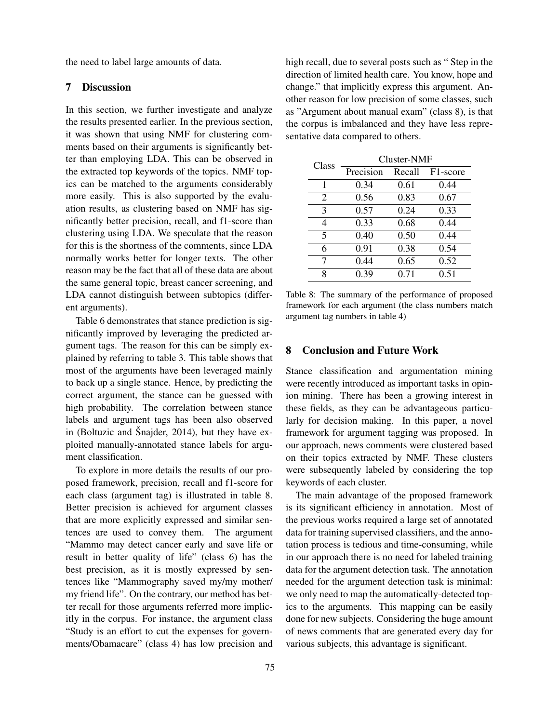the need to label large amounts of data.

## 7 Discussion

In this section, we further investigate and analyze the results presented earlier. In the previous section, it was shown that using NMF for clustering comments based on their arguments is significantly better than employing LDA. This can be observed in the extracted top keywords of the topics. NMF topics can be matched to the arguments considerably more easily. This is also supported by the evaluation results, as clustering based on NMF has significantly better precision, recall, and f1-score than clustering using LDA. We speculate that the reason for this is the shortness of the comments, since LDA normally works better for longer texts. The other reason may be the fact that all of these data are about the same general topic, breast cancer screening, and LDA cannot distinguish between subtopics (different arguments).

Table 6 demonstrates that stance prediction is significantly improved by leveraging the predicted argument tags. The reason for this can be simply explained by referring to table 3. This table shows that most of the arguments have been leveraged mainly to back up a single stance. Hence, by predicting the correct argument, the stance can be guessed with high probability. The correlation between stance labels and argument tags has been also observed in (Boltuzic and Šnajder,  $2014$ ), but they have exploited manually-annotated stance labels for argument classification.

To explore in more details the results of our proposed framework, precision, recall and f1-score for each class (argument tag) is illustrated in table 8. Better precision is achieved for argument classes that are more explicitly expressed and similar sentences are used to convey them. The argument "Mammo may detect cancer early and save life or result in better quality of life" (class 6) has the best precision, as it is mostly expressed by sentences like "Mammography saved my/my mother/ my friend life". On the contrary, our method has better recall for those arguments referred more implicitly in the corpus. For instance, the argument class "Study is an effort to cut the expenses for governments/Obamacare" (class 4) has low precision and high recall, due to several posts such as " Step in the direction of limited health care. You know, hope and change." that implicitly express this argument. Another reason for low precision of some classes, such as "Argument about manual exam" (class 8), is that the corpus is imbalanced and they have less representative data compared to others.

| Class                   | Cluster-NMF |        |          |  |
|-------------------------|-------------|--------|----------|--|
|                         | Precision   | Recall | F1-score |  |
| 1                       | 0.34        | 0.61   | 0.44     |  |
| 2                       | 0.56        | 0.83   | 0.67     |  |
| 3                       | 0.57        | 0.24   | 0.33     |  |
| 4                       | 0.33        | 0.68   | 0.44     |  |
| $\overline{\mathbf{S}}$ | 0.40        | 0.50   | 0.44     |  |
| 6                       | 0.91        | 0.38   | 0.54     |  |
| 7                       | 0.44        | 0.65   | 0.52     |  |
| Ջ                       | 0.39        | 0.71   | 0.51     |  |

Table 8: The summary of the performance of proposed framework for each argument (the class numbers match argument tag numbers in table 4)

### 8 Conclusion and Future Work

Stance classification and argumentation mining were recently introduced as important tasks in opinion mining. There has been a growing interest in these fields, as they can be advantageous particularly for decision making. In this paper, a novel framework for argument tagging was proposed. In our approach, news comments were clustered based on their topics extracted by NMF. These clusters were subsequently labeled by considering the top keywords of each cluster.

The main advantage of the proposed framework is its significant efficiency in annotation. Most of the previous works required a large set of annotated data for training supervised classifiers, and the annotation process is tedious and time-consuming, while in our approach there is no need for labeled training data for the argument detection task. The annotation needed for the argument detection task is minimal: we only need to map the automatically-detected topics to the arguments. This mapping can be easily done for new subjects. Considering the huge amount of news comments that are generated every day for various subjects, this advantage is significant.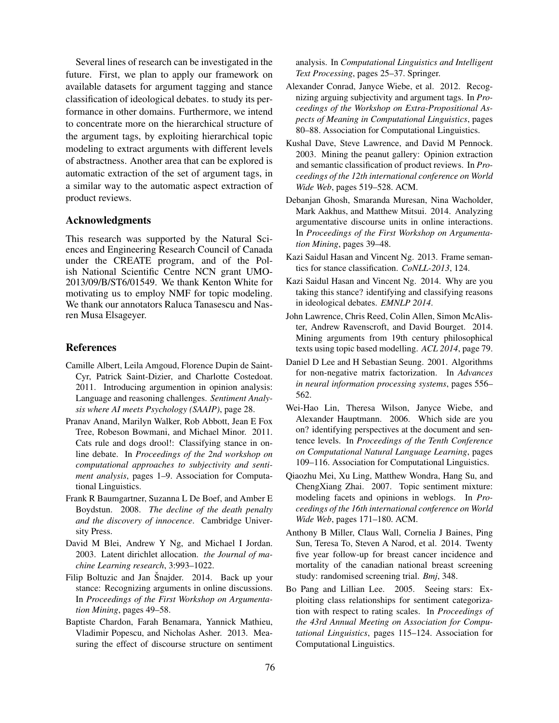Several lines of research can be investigated in the future. First, we plan to apply our framework on available datasets for argument tagging and stance classification of ideological debates. to study its performance in other domains. Furthermore, we intend to concentrate more on the hierarchical structure of the argument tags, by exploiting hierarchical topic modeling to extract arguments with different levels of abstractness. Another area that can be explored is automatic extraction of the set of argument tags, in a similar way to the automatic aspect extraction of product reviews.

## Acknowledgments

This research was supported by the Natural Sciences and Engineering Research Council of Canada under the CREATE program, and of the Polish National Scientific Centre NCN grant UMO-2013/09/B/ST6/01549. We thank Kenton White for motivating us to employ NMF for topic modeling. We thank our annotators Raluca Tanasescu and Nasren Musa Elsageyer.

### References

- Camille Albert, Leila Amgoud, Florence Dupin de Saint-Cyr, Patrick Saint-Dizier, and Charlotte Costedoat. 2011. Introducing argumention in opinion analysis: Language and reasoning challenges. *Sentiment Analysis where AI meets Psychology (SAAIP)*, page 28.
- Pranav Anand, Marilyn Walker, Rob Abbott, Jean E Fox Tree, Robeson Bowmani, and Michael Minor. 2011. Cats rule and dogs drool!: Classifying stance in online debate. In *Proceedings of the 2nd workshop on computational approaches to subjectivity and sentiment analysis*, pages 1–9. Association for Computational Linguistics.
- Frank R Baumgartner, Suzanna L De Boef, and Amber E Boydstun. 2008. *The decline of the death penalty and the discovery of innocence*. Cambridge University Press.
- David M Blei, Andrew Y Ng, and Michael I Jordan. 2003. Latent dirichlet allocation. *the Journal of machine Learning research*, 3:993–1022.
- Filip Boltuzic and Jan Šnajder. 2014. Back up your stance: Recognizing arguments in online discussions. In *Proceedings of the First Workshop on Argumentation Mining*, pages 49–58.
- Baptiste Chardon, Farah Benamara, Yannick Mathieu, Vladimir Popescu, and Nicholas Asher. 2013. Measuring the effect of discourse structure on sentiment

analysis. In *Computational Linguistics and Intelligent Text Processing*, pages 25–37. Springer.

- Alexander Conrad, Janyce Wiebe, et al. 2012. Recognizing arguing subjectivity and argument tags. In *Proceedings of the Workshop on Extra-Propositional Aspects of Meaning in Computational Linguistics*, pages 80–88. Association for Computational Linguistics.
- Kushal Dave, Steve Lawrence, and David M Pennock. 2003. Mining the peanut gallery: Opinion extraction and semantic classification of product reviews. In *Proceedings of the 12th international conference on World Wide Web*, pages 519–528. ACM.
- Debanjan Ghosh, Smaranda Muresan, Nina Wacholder, Mark Aakhus, and Matthew Mitsui. 2014. Analyzing argumentative discourse units in online interactions. In *Proceedings of the First Workshop on Argumentation Mining*, pages 39–48.
- Kazi Saidul Hasan and Vincent Ng. 2013. Frame semantics for stance classification. *CoNLL-2013*, 124.
- Kazi Saidul Hasan and Vincent Ng. 2014. Why are you taking this stance? identifying and classifying reasons in ideological debates. *EMNLP 2014*.
- John Lawrence, Chris Reed, Colin Allen, Simon McAlister, Andrew Ravenscroft, and David Bourget. 2014. Mining arguments from 19th century philosophical texts using topic based modelling. *ACL 2014*, page 79.
- Daniel D Lee and H Sebastian Seung. 2001. Algorithms for non-negative matrix factorization. In *Advances in neural information processing systems*, pages 556– 562.
- Wei-Hao Lin, Theresa Wilson, Janyce Wiebe, and Alexander Hauptmann. 2006. Which side are you on? identifying perspectives at the document and sentence levels. In *Proceedings of the Tenth Conference on Computational Natural Language Learning*, pages 109–116. Association for Computational Linguistics.
- Qiaozhu Mei, Xu Ling, Matthew Wondra, Hang Su, and ChengXiang Zhai. 2007. Topic sentiment mixture: modeling facets and opinions in weblogs. In *Proceedings of the 16th international conference on World Wide Web*, pages 171–180. ACM.
- Anthony B Miller, Claus Wall, Cornelia J Baines, Ping Sun, Teresa To, Steven A Narod, et al. 2014. Twenty five year follow-up for breast cancer incidence and mortality of the canadian national breast screening study: randomised screening trial. *Bmj*, 348.
- Bo Pang and Lillian Lee. 2005. Seeing stars: Exploiting class relationships for sentiment categorization with respect to rating scales. In *Proceedings of the 43rd Annual Meeting on Association for Computational Linguistics*, pages 115–124. Association for Computational Linguistics.